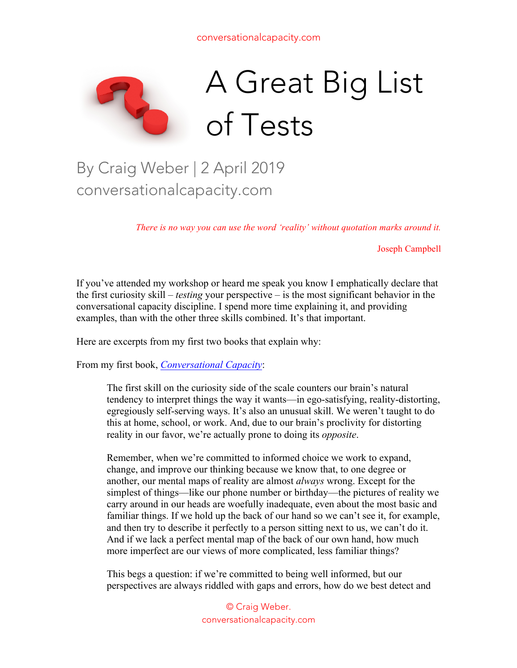

## By Craig Weber | 2 April 2019 conversationalcapacity.com

*There is no way you can use the word 'reality' without quotation marks around it.* 

Joseph Campbell

If you've attended my workshop or heard me speak you know I emphatically declare that the first curiosity skill – *testing* your perspective – is the most significant behavior in the conversational capacity discipline. I spend more time explaining it, and providing examples, than with the other three skills combined. It's that important.

Here are excerpts from my first two books that explain why:

From my first book, *Conversational Capacity*:

The first skill on the curiosity side of the scale counters our brain's natural tendency to interpret things the way it wants—in ego-satisfying, reality-distorting, egregiously self-serving ways. It's also an unusual skill. We weren't taught to do this at home, school, or work. And, due to our brain's proclivity for distorting reality in our favor, we're actually prone to doing its *opposite*.

Remember, when we're committed to informed choice we work to expand, change, and improve our thinking because we know that, to one degree or another, our mental maps of reality are almost *always* wrong. Except for the simplest of things—like our phone number or birthday—the pictures of reality we carry around in our heads are woefully inadequate, even about the most basic and familiar things. If we hold up the back of our hand so we can't see it, for example, and then try to describe it perfectly to a person sitting next to us, we can't do it. And if we lack a perfect mental map of the back of our own hand, how much more imperfect are our views of more complicated, less familiar things?

This begs a question: if we're committed to being well informed, but our perspectives are always riddled with gaps and errors, how do we best detect and

> © Craig Weber. conversationalcapacity.com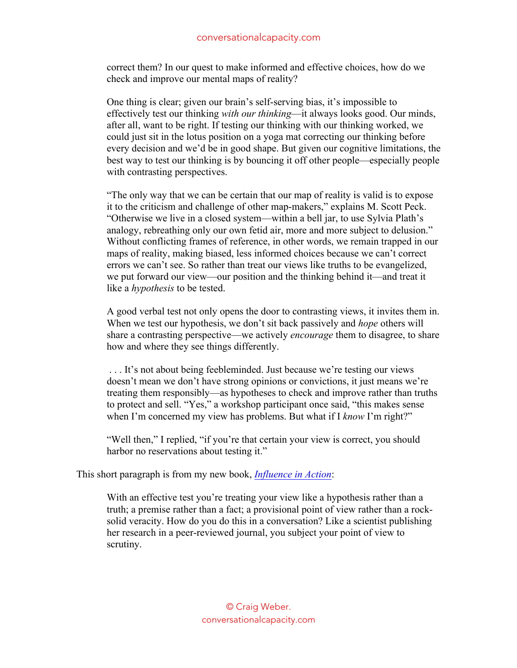correct them? In our quest to make informed and effective choices, how do we check and improve our mental maps of reality?

One thing is clear; given our brain's self-serving bias, it's impossible to effectively test our thinking *with our thinking*—it always looks good. Our minds, after all, want to be right. If testing our thinking with our thinking worked, we could just sit in the lotus position on a yoga mat correcting our thinking before every decision and we'd be in good shape. But given our cognitive limitations, the best way to test our thinking is by bouncing it off other people—especially people with contrasting perspectives.

"The only way that we can be certain that our map of reality is valid is to expose it to the criticism and challenge of other map-makers," explains M. Scott Peck. "Otherwise we live in a closed system—within a bell jar, to use Sylvia Plath's analogy, rebreathing only our own fetid air, more and more subject to delusion." Without conflicting frames of reference, in other words, we remain trapped in our maps of reality, making biased, less informed choices because we can't correct errors we can't see. So rather than treat our views like truths to be evangelized, we put forward our view—our position and the thinking behind it—and treat it like a *hypothesis* to be tested.

A good verbal test not only opens the door to contrasting views, it invites them in. When we test our hypothesis, we don't sit back passively and *hope* others will share a contrasting perspective—we actively *encourage* them to disagree, to share how and where they see things differently.

. . . It's not about being feebleminded. Just because we're testing our views doesn't mean we don't have strong opinions or convictions, it just means we're treating them responsibly—as hypotheses to check and improve rather than truths to protect and sell. "Yes," a workshop participant once said, "this makes sense when I'm concerned my view has problems. But what if I *know* I'm right?"

"Well then," I replied, "if you're that certain your view is correct, you should harbor no reservations about testing it."

This short paragraph is from my new book, *Influence in Action*:

With an effective test you're treating your view like a hypothesis rather than a truth; a premise rather than a fact; a provisional point of view rather than a rocksolid veracity. How do you do this in a conversation? Like a scientist publishing her research in a peer-reviewed journal, you subject your point of view to scrutiny.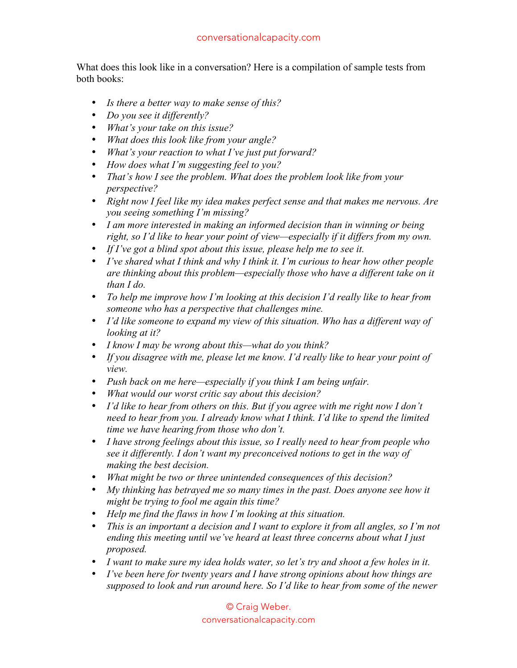What does this look like in a conversation? Here is a compilation of sample tests from both books:

- *Is there a better way to make sense of this?*
- *Do you see it differently?*
- *What's your take on this issue?*
- *What does this look like from your angle?*
- *What's your reaction to what I've just put forward?*
- *How does what I'm suggesting feel to you?*
- *That's how I see the problem. What does the problem look like from your perspective?*
- *Right now I feel like my idea makes perfect sense and that makes me nervous. Are you seeing something I'm missing?*
- *I am more interested in making an informed decision than in winning or being right, so I'd like to hear your point of view—especially if it differs from my own.*
- *If I've got a blind spot about this issue, please help me to see it.*
- *I've shared what I think and why I think it. I'm curious to hear how other people are thinking about this problem—especially those who have a different take on it than I do.*
- *To help me improve how I'm looking at this decision I'd really like to hear from someone who has a perspective that challenges mine.*
- *I'd like someone to expand my view of this situation. Who has a different way of looking at it?*
- *I know I may be wrong about this—what do you think?*
- *If you disagree with me, please let me know. I'd really like to hear your point of view.*
- *Push back on me here—especially if you think I am being unfair.*
- *What would our worst critic say about this decision?*
- *I'd like to hear from others on this. But if you agree with me right now I don't need to hear from you. I already know what I think. I'd like to spend the limited time we have hearing from those who don't.*
- *I have strong feelings about this issue, so I really need to hear from people who see it differently. I don't want my preconceived notions to get in the way of making the best decision.*
- *What might be two or three unintended consequences of this decision?*
- *My thinking has betrayed me so many times in the past. Does anyone see how it might be trying to fool me again this time?*
- *Help me find the flaws in how I'm looking at this situation.*
- *This is an important a decision and I want to explore it from all angles, so I'm not ending this meeting until we've heard at least three concerns about what I just proposed.*
- *I want to make sure my idea holds water, so let's try and shoot a few holes in it.*
- *I've been here for twenty years and I have strong opinions about how things are supposed to look and run around here. So I'd like to hear from some of the newer*

© Craig Weber. conversationalcapacity.com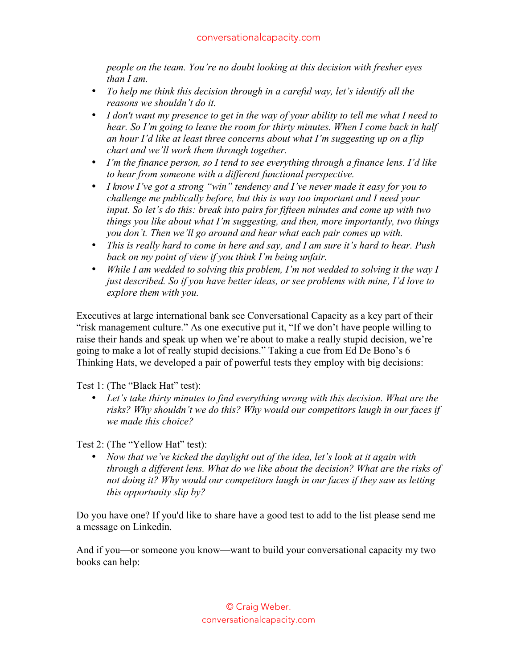*people on the team. You're no doubt looking at this decision with fresher eyes than I am.*

- *To help me think this decision through in a careful way, let's identify all the reasons we shouldn't do it.*
- *I don't want my presence to get in the way of your ability to tell me what I need to hear. So I'm going to leave the room for thirty minutes. When I come back in half an hour I'd like at least three concerns about what I'm suggesting up on a flip chart and we'll work them through together.*
- *I'm the finance person, so I tend to see everything through a finance lens. I'd like to hear from someone with a different functional perspective.*
- *I know I've got a strong "win" tendency and I've never made it easy for you to challenge me publically before, but this is way too important and I need your input. So let's do this: break into pairs for fifteen minutes and come up with two things you like about what I'm suggesting, and then, more importantly, two things you don't. Then we'll go around and hear what each pair comes up with.*
- *This is really hard to come in here and say, and I am sure it's hard to hear. Push back on my point of view if you think I'm being unfair.*
- *While I am wedded to solving this problem, I'm not wedded to solving it the way I just described. So if you have better ideas, or see problems with mine, I'd love to explore them with you.*

Executives at large international bank see Conversational Capacity as a key part of their "risk management culture." As one executive put it, "If we don't have people willing to raise their hands and speak up when we're about to make a really stupid decision, we're going to make a lot of really stupid decisions." Taking a cue from Ed De Bono's 6 Thinking Hats, we developed a pair of powerful tests they employ with big decisions:

Test 1: (The "Black Hat" test):

• *Let's take thirty minutes to find everything wrong with this decision. What are the risks? Why shouldn't we do this? Why would our competitors laugh in our faces if we made this choice?*

Test 2: (The "Yellow Hat" test):

• *Now that we've kicked the daylight out of the idea, let's look at it again with through a different lens. What do we like about the decision? What are the risks of not doing it? Why would our competitors laugh in our faces if they saw us letting this opportunity slip by?* 

Do you have one? If you'd like to share have a good test to add to the list please send me a message on Linkedin.

And if you—or someone you know—want to build your conversational capacity my two books can help: